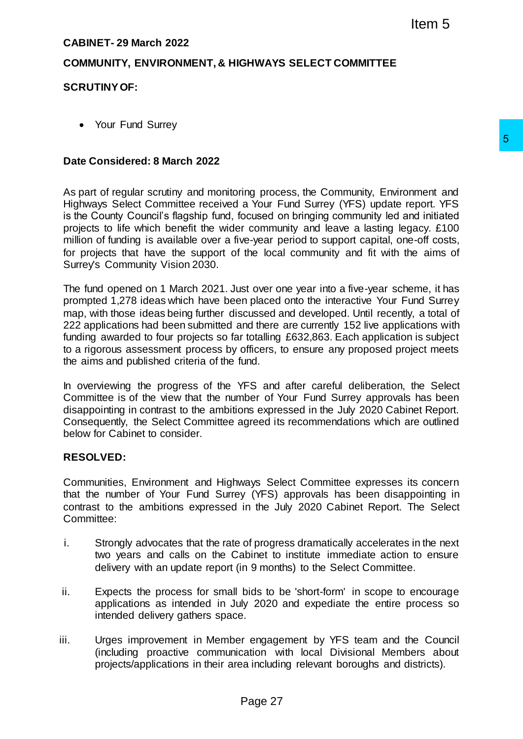# **CABINET- 29 March 2022**

## **COMMUNITY, ENVIRONMENT, & HIGHWAYS SELECT COMMITTEE**

## **SCRUTINY OF:**

• Your Fund Surrey

#### **Date Considered: 8 March 2022**

As part of regular scrutiny and monitoring process, the Community, Environment and Highways Select Committee received a Your Fund Surrey (YFS) update report. YFS is the County Council's flagship fund, focused on bringing community led and initiated projects to life which benefit the wider community and leave a lasting legacy. £100 million of funding is available over a five-year period to support capital, one-off costs, for projects that have the support of the local community and fit with the aims of Surrey's Community Vision 2030.

The fund opened on 1 March 2021. Just over one year into a five-year scheme, it has prompted 1,278 ideas which have been placed onto the interactive Your Fund Surrey map, with those ideas being further discussed and developed. Until recently, a total of 222 applications had been submitted and there are currently 152 live applications with funding awarded to four projects so far totalling £632,863. Each application is subject to a rigorous assessment process by officers, to ensure any proposed project meets the aims and published criteria of the fund. 15 and your Eval Summarity, Environment and a<br>
20 anour Eural Surrey (YFS) update report. YFS<br>
a Your Eural Surrey (YFS) update report. YFS<br>
reveyear pend to bis support capital, one-off costs,<br>
the local community and fit

In overviewing the progress of the YFS and after careful deliberation, the Select Committee is of the view that the number of Your Fund Surrey approvals has been disappointing in contrast to the ambitions expressed in the July 2020 Cabinet Report. Consequently, the Select Committee agreed its recommendations which are outlined below for Cabinet to consider.

#### **RESOLVED:**

Communities, Environment and Highways Select Committee expresses its concern that the number of Your Fund Surrey (YFS) approvals has been disappointing in contrast to the ambitions expressed in the July 2020 Cabinet Report. The Select Committee:

- i. Strongly advocates that the rate of progress dramatically accelerates in the next two years and calls on the Cabinet to institute immediate action to ensure delivery with an update report (in 9 months) to the Select Committee.
- ii. Expects the process for small bids to be 'short-form' in scope to encourage applications as intended in July 2020 and expediate the entire process so intended delivery gathers space.
- iii. Urges improvement in Member engagement by YFS team and the Council (including proactive communication with local Divisional Members about projects/applications in their area including relevant boroughs and districts).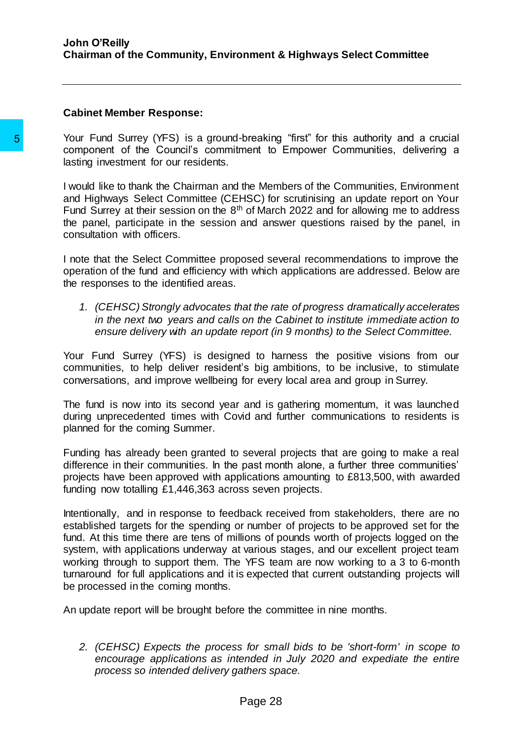Your Fund Surrey (YFS) is a ground-breaking "first" for this authority and a crucial component of the Council's commitment to Empower Communities, delivering a lasting investment for our residents.

I would like to thank the Chairman and the Members of the Communities, Environment and Highways Select Committee (CEHSC) for scrutinising an update report on Your Fund Surrey at their session on the  $8<sup>th</sup>$  of March 2022 and for allowing me to address the panel, participate in the session and answer questions raised by the panel, in consultation with officers.

I note that the Select Committee proposed several recommendations to improve the operation of the fund and efficiency with which applications are addressed. Below are the responses to the identified areas.

*1. (CEHSC) Strongly advocates that the rate of progress dramatically accelerates in the next two years and calls on the Cabinet to institute immediate action to ensure delivery with an update report (in 9 months) to the Select Committee.*

Your Fund Surrey (YFS) is designed to harness the positive visions from our communities, to help deliver resident's big ambitions, to be inclusive, to stimulate conversations, and improve wellbeing for every local area and group in Surrey.

The fund is now into its second year and is gathering momentum, it was launched during unprecedented times with Covid and further communications to residents is planned for the coming Summer.

Funding has already been granted to several projects that are going to make a real difference in their communities. In the past month alone, a further three communities' projects have been approved with applications amounting to £813,500, with awarded funding now totalling £1,446,363 across seven projects.

Intentionally, and in response to feedback received from stakeholders, there are no established targets for the spending or number of projects to be approved set for the fund. At this time there are tens of millions of pounds worth of projects logged on the system, with applications underway at various stages, and our excellent project team working through to support them. The YFS team are now working to a 3 to 6-month turnaround for full applications and it is expected that current outstanding projects will be processed in the coming months. **S**<br>Your Fund Surrey (YFS) is a ground-breaking<br>component of the Council's commitment to<br>lasting investment for our residents.<br>However, the Chairman and the Mem<br>and Highways Select Committee (CEHSC) for<br>Fund Surrey at the

An update report will be brought before the committee in nine months.

*2. (CEHSC) Expects the process for small bids to be 'short-form' in scope to encourage applications as intended in July 2020 and expediate the entire process so intended delivery gathers space.*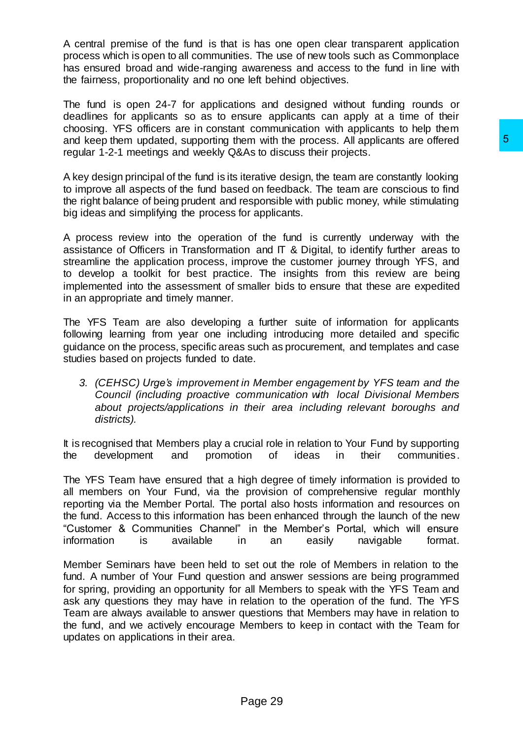A central premise of the fund is that is has one open clear transparent application process which is open to all communities. The use of new tools such as Commonplace has ensured broad and wide-ranging awareness and access to the fund in line with the fairness, proportionality and no one left behind objectives.

The fund is open 24-7 for applications and designed without funding rounds or deadlines for applicants so as to ensure applicants can apply at a time of their choosing. YFS officers are in constant communication with applicants to help them and keep them updated, supporting them with the process. All applicants are offered regular 1-2-1 meetings and weekly Q&As to discuss their projects.

A key design principal of the fund is its iterative design, the team are constantly looking to improve all aspects of the fund based on feedback. The team are conscious to find the right balance of being prudent and responsible with public money, while stimulating big ideas and simplifying the process for applicants.

A process review into the operation of the fund is currently underway with the assistance of Officers in Transformation and IT & Digital, to identify further areas to streamline the application process, improve the customer journey through YFS, and to develop a toolkit for best practice. The insights from this review are being implemented into the assessment of smaller bids to ensure that these are expedited in an appropriate and timely manner.

The YFS Team are also developing a further suite of information for applicants following learning from year one including introducing more detailed and specific guidance on the process, specific areas such as procurement, and templates and case studies based on projects funded to date.

*3. (CEHSC) Urge's improvement in Member engagement by YFS team and the Council (including proactive communication with local Divisional Members about projects/applications in their area including relevant boroughs and districts).*

It is recognised that Members play a crucial role in relation to Your Fund by supporting the development and promotion of ideas in their communities.

The YFS Team have ensured that a high degree of timely information is provided to all members on Your Fund, via the provision of comprehensive regular monthly reporting via the Member Portal. The portal also hosts information and resources on the fund. Access to this information has been enhanced through the launch of the new "Customer & Communities Channel" in the Member's Portal, which will ensure information is available in an easily navigable format.

Member Seminars have been held to set out the role of Members in relation to the fund. A number of Your Fund question and answer sessions are being programmed for spring, providing an opportunity for all Members to speak with the YFS Team and ask any questions they may have in relation to the operation of the fund. The YFS Team are always available to answer questions that Members may have in relation to the fund, and we actively encourage Members to keep in contact with the Team for updates on applications in their area. iem with the process. All applicants are offered in the process. All applicants are offered interval the design, the team are constantly looking the derivative design, the team are constantly looking exponsible with public